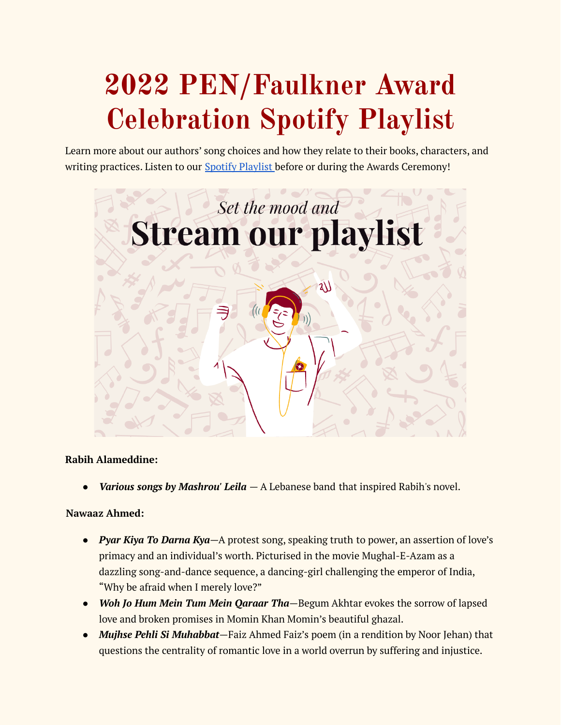# **2022 PEN/Faulkner Award Celebration Spotify Playlist**

Learn more about our authors' song choices and how they relate to their books, characters, and writing practices. Listen to our Spotify [Playlist](https://open.spotify.com/playlist/2NbZFfQsoWR6xBAknoiqzd?si=9a7769ea7c1d4145) before or during the Awards Ceremony!



#### **Rabih Alameddine:**

● *Various songs by Mashrou' Leila* — A Lebanese band that inspired Rabih's novel.

# **Nawaaz Ahmed:**

- *Pyar Kiya To Darna Kya*—A protest song, speaking truth to power, an assertion of love's primacy and an individual's worth. Picturised in the movie Mughal-E-Azam as a dazzling song-and-dance sequence, a dancing-girl challenging the emperor of India, "Why be afraid when I merely love?"
- *Woh Jo Hum Mein Tum Mein Qaraar Tha*—Begum Akhtar evokes the sorrow of lapsed love and broken promises in Momin Khan Momin's beautiful ghazal.
- *Mujhse Pehli Si Muhabbat*—Faiz Ahmed Faiz's poem (in a rendition by Noor Jehan) that questions the centrality of romantic love in a world overrun by suffering and injustice.